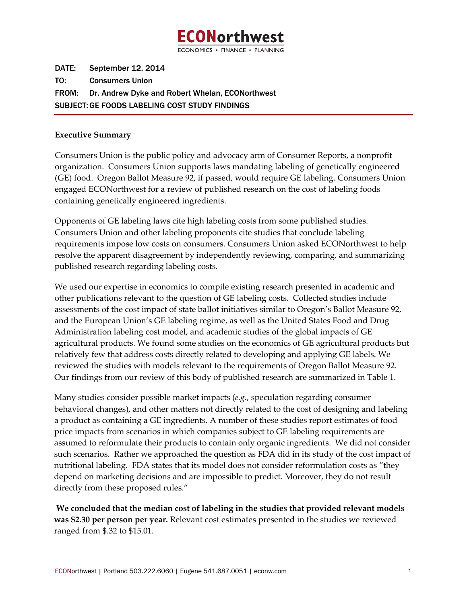

DATE: September 12, 2014 TO: Consumers Union FROM: Dr. Andrew Dyke and Robert Whelan, ECONorthwest SUBJECT: GE FOODS LABELING COST STUDY FINDINGS

#### **Executive Summary**

Consumers Union is the public policy and advocacy arm of Consumer Reports, a nonprofit organization. Consumers Union supports laws mandating labeling of genetically engineered (GE) food. Oregon Ballot Measure 92, if passed, would require GE labeling. Consumers Union engaged ECONorthwest for a review of published research on the cost of labeling foods containing genetically engineered ingredients.

Opponents of GE labeling laws cite high labeling costs from some published studies. Consumers Union and other labeling proponents cite studies that conclude labeling requirements impose low costs on consumers. Consumers Union asked ECONorthwest to help resolve the apparent disagreement by independently reviewing, comparing, and summarizing published research regarding labeling costs.

We used our expertise in economics to compile existing research presented in academic and other publications relevant to the question of GE labeling costs. Collected studies include assessments of the cost impact of state ballot initiatives similar to Oregon's Ballot Measure 92, and the European Union's GE labeling regime, as well as the United States Food and Drug Administration labeling cost model, and academic studies of the global impacts of GE agricultural products. We found some studies on the economics of GE agricultural products but relatively few that address costs directly related to developing and applying GE labels. We reviewed the studies with models relevant to the requirements of Oregon Ballot Measure 92. Our findings from our review of this body of published research are summarized in Table 1.

Many studies consider possible market impacts (*e.g*., speculation regarding consumer behavioral changes), and other matters not directly related to the cost of designing and labeling a product as containing a GE ingredients. A number of these studies report estimates of food price impacts from scenarios in which companies subject to GE labeling requirements are assumed to reformulate their products to contain only organic ingredients. We did not consider such scenarios. Rather we approached the question as FDA did in its study of the cost impact of nutritional labeling. FDA states that its model does not consider reformulation costs as "they depend on marketing decisions and are impossible to predict. Moreover, they do not result directly from these proposed rules."

**We concluded that the median cost of labeling in the studies that provided relevant models was \$2.30 per person per year.** Relevant cost estimates presented in the studies we reviewed ranged from \$.32 to \$15.01.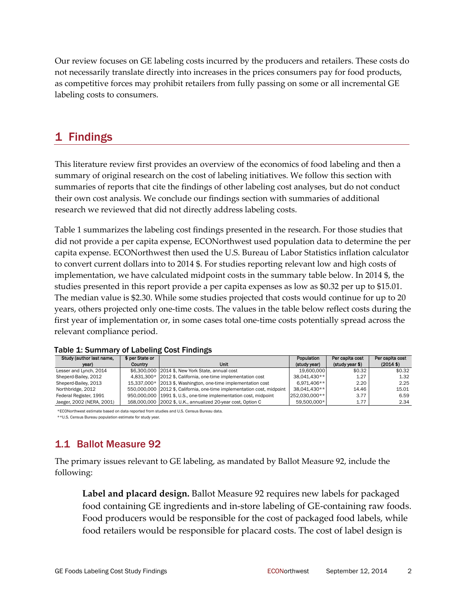Our review focuses on GE labeling costs incurred by the producers and retailers. These costs do not necessarily translate directly into increases in the prices consumers pay for food products, as competitive forces may prohibit retailers from fully passing on some or all incremental GE labeling costs to consumers.

# 1 Findings

This literature review first provides an overview of the economics of food labeling and then a summary of original research on the cost of labeling initiatives. We follow this section with summaries of reports that cite the findings of other labeling cost analyses, but do not conduct their own cost analysis. We conclude our findings section with summaries of additional research we reviewed that did not directly address labeling costs.

[Table](#page-1-0) 1 summarizes the labeling cost findings presented in the research. For those studies that did not provide a per capita expense, ECONorthwest used population data to determine the per capita expense. ECONorthwest then used the U.S. Bureau of Labor Statistics inflation calculator to convert current dollars into to 2014 \$. For studies reporting relevant low and high costs of implementation, we have calculated midpoint costs in the summary table below. In 2014 \$, the studies presented in this report provide a per capita expenses as low as \$0.32 per up to \$15.01. The median value is \$2.30. While some studies projected that costs would continue for up to 20 years, others projected only one‐time costs. The values in the table below reflect costs during the first year of implementation or, in some cases total one-time costs potentially spread across the relevant compliance period.

| Study (author last name,  | \$ per State or |                                                                         | Population    | Per capita cost | Per capita cost |
|---------------------------|-----------------|-------------------------------------------------------------------------|---------------|-----------------|-----------------|
| vear)                     | Country         | Unit                                                                    | (study year)  | (study year \$) | $(2014$ \$)     |
| Lesser and Lynch, 2014    |                 | \$6,300,000 2014 \$, New York State, annual cost                        | 19.600.000    | \$0.32          | \$0.32          |
| Sheperd-Bailey, 2012      |                 | 4,831,300* 2012 \$, California, one-time implementation cost            | 38.041.430**  | 1.27            | 1.32            |
| Sheperd-Bailey, 2013      |                 | 15,337,000* 2013 \$, Washington, one-time implementation cost           | $6.971.406**$ | 2.20            | 2.25            |
| Northbridge, 2012         |                 | 550,000,000 2012 \$, California, one-time implementation cost, midpoint | 38.041.430**  | 14.46           | 15.01           |
| Federal Register, 1991    |                 | 950,000,000 1991 \$, U.S., one-time implementation cost, midpoint       | 252.030.000** | 3.77            | 6.59            |
| Jaeger, 2002 (NERA, 2001) |                 | 168,000,000 2002 \$, U.K., annualized 20-year cost, Option C            | 59.500.000*   | 1.77            | 2.34            |

<span id="page-1-0"></span>

\*ECONorthwest estimate based on data reported from studies and U.S. Census Bureau data.

\*\*U.S. Census Bureau population estimate for study year.

# 1.1 Ballot Measure 92

The primary issues relevant to GE labeling, as mandated by Ballot Measure 92, include the following:

**Label and placard design.** Ballot Measure 92 requires new labels for packaged food containing GE ingredients and in‐store labeling of GE‐containing raw foods. Food producers would be responsible for the cost of packaged food labels, while food retailers would be responsible for placard costs. The cost of label design is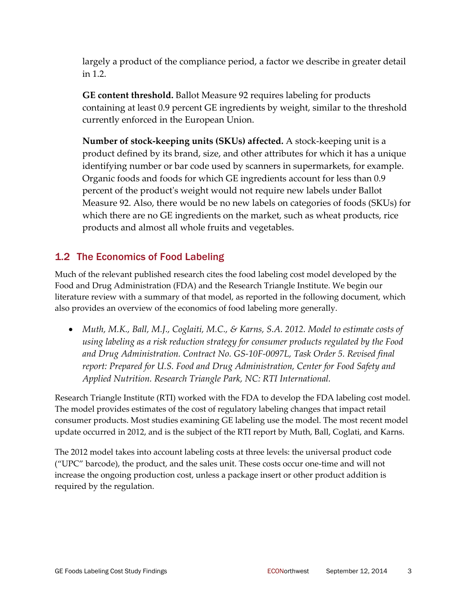largely a product of the compliance period, a factor we describe in greater detail in [1.2](#page-2-0).

**GE content threshold.** Ballot Measure 92 requires labeling for products containing at least 0.9 percent GE ingredients by weight, similar to the threshold currently enforced in the European Union.

**Number of stock‐keeping units (SKUs) affected.** A stock‐keeping unit is a product defined by its brand, size, and other attributes for which it has a unique identifying number or bar code used by scanners in supermarkets, for example. Organic foods and foods for which GE ingredients account for less than 0.9 percent of the productʹs weight would not require new labels under Ballot Measure 92. Also, there would be no new labels on categories of foods (SKUs) for which there are no GE ingredients on the market, such as wheat products, rice products and almost all whole fruits and vegetables.

## 1.2 The Economics of Food Labeling

<span id="page-2-0"></span>Much of the relevant published research cites the food labeling cost model developed by the Food and Drug Administration (FDA) and the Research Triangle Institute. We begin our literature review with a summary of that model, as reported in the following document, which also provides an overview of the economics of food labeling more generally.

• *Muth, M.K., Ball, M.J., Coglaiti, M.C., & Karns, S.A. 2012. Model to estimate costs of using labeling as a risk reduction strategy for consumer products regulated by the Food and Drug Administration. Contract No. GS‐10F‐0097L, Task Order 5. Revised final report: Prepared for U.S. Food and Drug Administration, Center for Food Safety and Applied Nutrition. Research Triangle Park, NC: RTI International.*

Research Triangle Institute (RTI) worked with the FDA to develop the FDA labeling cost model. The model provides estimates of the cost of regulatory labeling changes that impact retail consumer products. Most studies examining GE labeling use the model. The most recent model update occurred in 2012, and is the subject of the RTI report by Muth, Ball, Coglati, and Karns.

The 2012 model takes into account labeling costs at three levels: the universal product code ("UPC" barcode), the product, and the sales unit. These costs occur one‐time and will not increase the ongoing production cost, unless a package insert or other product addition is required by the regulation.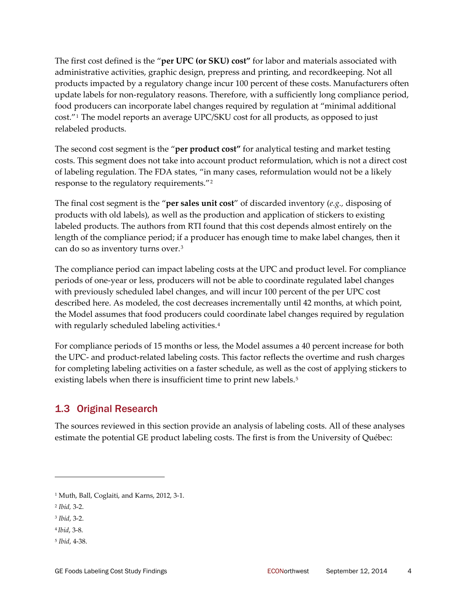The first cost defined is the "**per UPC (or SKU) cost"** for labor and materials associated with administrative activities, graphic design, prepress and printing, and recordkeeping. Not all products impacted by a regulatory change incur 100 percent of these costs. Manufacturers often update labels for non-regulatory reasons. Therefore, with a sufficiently long compliance period, food producers can incorporate label changes required by regulation at "minimal additional cost."[1](#page-3-0) The model reports an average UPC/SKU cost for all products, as opposed to just relabeled products.

The second cost segment is the "**per product cost"** for analytical testing and market testing costs. This segment does not take into account product reformulation, which is not a direct cost of labeling regulation. The FDA states, "in many cases, reformulation would not be a likely response to the regulatory requirements."[2](#page-3-1)

The final cost segment is the "**per sales unit cost**" of discarded inventory (*e.g.,* disposing of products with old labels), as well as the production and application of stickers to existing labeled products. The authors from RTI found that this cost depends almost entirely on the length of the compliance period; if a producer has enough time to make label changes, then it can do so as inventory turns over.[3](#page-3-2)

The compliance period can impact labeling costs at the UPC and product level. For compliance periods of one‐year or less, producers will not be able to coordinate regulated label changes with previously scheduled label changes, and will incur 100 percent of the per UPC cost described here. As modeled, the cost decreases incrementally until 42 months, at which point, the Model assumes that food producers could coordinate label changes required by regulation with regularly scheduled labeling activities.<sup>[4](#page-3-3)</sup>

For compliance periods of 15 months or less, the Model assumes a 40 percent increase for both the UPC‐ and product‐related labeling costs. This factor reflects the overtime and rush charges for completing labeling activities on a faster schedule, as well as the cost of applying stickers to existing labels when there is insufficient time to print new labels.<sup>[5](#page-3-4)</sup>

### 1.3 Original Research

The sources reviewed in this section provide an analysis of labeling costs. All of these analyses estimate the potential GE product labeling costs. The first is from the University of Québec:

<span id="page-3-0"></span><sup>1</sup> Muth, Ball, Coglaiti, and Karns, 2012, 3‐1.

<span id="page-3-1"></span><sup>2</sup> *Ibid,* 3‐2.

<span id="page-3-2"></span><sup>3</sup> *Ibid*, 3‐2.

<span id="page-3-3"></span><sup>4</sup> *Ibid*, 3‐8.

<span id="page-3-4"></span><sup>5</sup> *Ibid*, 4‐38.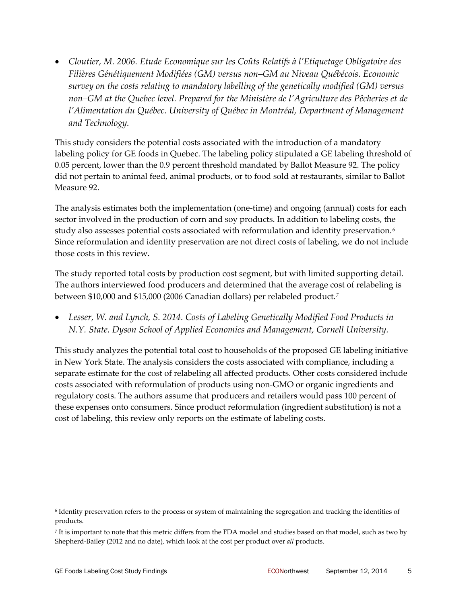• *Cloutier, M. 2006. Etude Economique sur les Coûts Relatifs à l'Etiquetage Obligatoire des Filières Génétiquement Modifiées (GM) versus non–GM au Niveau Québécois. Economic survey on the costs relating to mandatory labelling of the genetically modified (GM) versus non–GM at the Quebec level. Prepared for the Ministère de l'Agriculture des Pêcheries et de l'Alimentation du Québec. University of Québec in Montréal, Department of Management and Technology.*

This study considers the potential costs associated with the introduction of a mandatory labeling policy for GE foods in Quebec. The labeling policy stipulated a GE labeling threshold of 0.05 percent, lower than the 0.9 percent threshold mandated by Ballot Measure 92. The policy did not pertain to animal feed, animal products, or to food sold at restaurants, similar to Ballot Measure 92.

The analysis estimates both the implementation (one-time) and ongoing (annual) costs for each sector involved in the production of corn and soy products. In addition to labeling costs, the study also assesses potential costs associated with reformulation and identity preservation.<sup>[6](#page-4-0)</sup> Since reformulation and identity preservation are not direct costs of labeling, we do not include those costs in this review.

The study reported total costs by production cost segment, but with limited supporting detail. The authors interviewed food producers and determined that the average cost of relabeling is between \$10,000 and \$15,000 (2006 Canadian dollars) per relabeled product*.[7](#page-4-1)*

• *Lesser, W. and Lynch, S. 2014. Costs of Labeling Genetically Modified Food Products in N.Y. State. Dyson School of Applied Economics and Management, Cornell University.* 

This study analyzes the potential total cost to households of the proposed GE labeling initiative in New York State. The analysis considers the costs associated with compliance, including a separate estimate for the cost of relabeling all affected products. Other costs considered include costs associated with reformulation of products using non‐GMO or organic ingredients and regulatory costs. The authors assume that producers and retailers would pass 100 percent of these expenses onto consumers. Since product reformulation (ingredient substitution) is not a cost of labeling, this review only reports on the estimate of labeling costs.

<span id="page-4-0"></span><sup>6</sup> Identity preservation refers to the process or system of maintaining the segregation and tracking the identities of products.

<span id="page-4-1"></span><sup>7</sup> It is important to note that this metric differs from the FDA model and studies based on that model, such as two by Shepherd-Bailey (2012 and no date), which look at the cost per product over *all* products.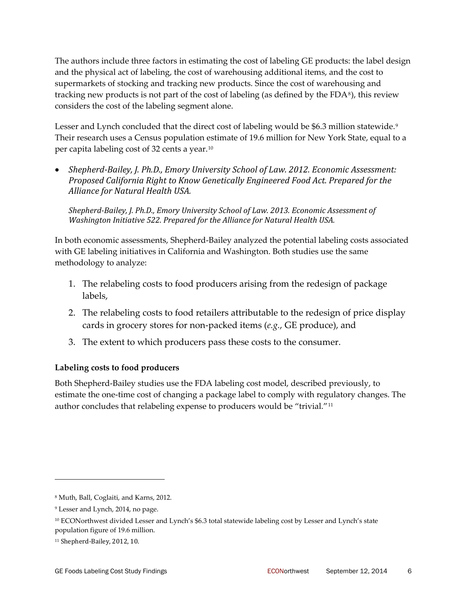The authors include three factors in estimating the cost of labeling GE products: the label design and the physical act of labeling, the cost of warehousing additional items, and the cost to supermarkets of stocking and tracking new products. Since the cost of warehousing and tracking new products is not part of the cost of labeling (as defined by the  $FDA<sup>8</sup>$  $FDA<sup>8</sup>$  $FDA<sup>8</sup>$ ), this review considers the cost of the labeling segment alone.

Lesser and Lynch concluded that the direct cost of labeling would be \$6.3 million statewide.<sup>[9](#page-5-1)</sup> Their research uses a Census population estimate of 19.6 million for New York State, equal to a per capita labeling cost of 32 cents a year.[10](#page-5-2)

• *ShepherdBailey, J. Ph.D., Emory University School of Law. 2012. Economic Assessment: Proposed California Right to Know Genetically Engineered Food Act. Prepared for the Alliance for Natural Health USA.* 

*ShepherdBailey, J. Ph.D., Emory University School of Law. 2013. Economic Assessment of Washington Initiative 522. Prepared for the Alliance for Natural Health USA.* 

In both economic assessments, Shepherd‐Bailey analyzed the potential labeling costs associated with GE labeling initiatives in California and Washington. Both studies use the same methodology to analyze:

- 1. The relabeling costs to food producers arising from the redesign of package labels,
- 2. The relabeling costs to food retailers attributable to the redesign of price display cards in grocery stores for non‐packed items (*e.g.*, GE produce), and
- 3. The extent to which producers pass these costs to the consumer.

### **Labeling costs to food producers**

Both Shepherd‐Bailey studies use the FDA labeling cost model, described previously, to estimate the one-time cost of changing a package label to comply with regulatory changes. The author concludes that relabeling expense to producers would be "trivial."[11](#page-5-3)

<span id="page-5-0"></span><sup>8</sup> Muth, Ball, Coglaiti, and Karns, 2012.

<span id="page-5-1"></span><sup>9</sup> Lesser and Lynch, 2014, no page.

<span id="page-5-2"></span><sup>10</sup> ECONorthwest divided Lesser and Lynch's \$6.3 total statewide labeling cost by Lesser and Lynch's state population figure of 19.6 million.

<span id="page-5-3"></span><sup>&</sup>lt;sup>11</sup> Shepherd-Bailey, 2012, 10.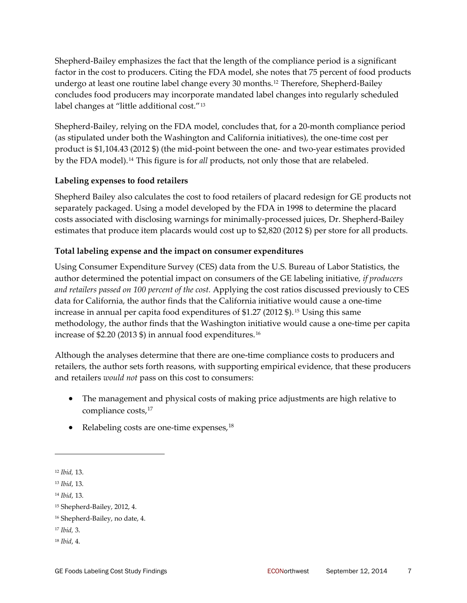Shepherd‐Bailey emphasizes the fact that the length of the compliance period is a significant factor in the cost to producers. Citing the FDA model, she notes that 75 percent of food products undergo at least one routine label change every 30 months.[12](#page-6-0) Therefore, Shepherd‐Bailey concludes food producers may incorporate mandated label changes into regularly scheduled label changes at "little additional cost."[13](#page-6-1)

Shepherd-Bailey, relying on the FDA model, concludes that, for a 20-month compliance period (as stipulated under both the Washington and California initiatives), the one‐time cost per product is \$1,104.43 (2012 \$) (the mid‐point between the one‐ and two‐year estimates provided by the FDA model).[14](#page-6-2) This figure is for *all* products, not only those that are relabeled.

### **Labeling expenses to food retailers**

Shepherd Bailey also calculates the cost to food retailers of placard redesign for GE products not separately packaged. Using a model developed by the FDA in 1998 to determine the placard costs associated with disclosing warnings for minimally‐processed juices, Dr. Shepherd‐Bailey estimates that produce item placards would cost up to \$2,820 (2012 \$) per store for all products.

### **Total labeling expense and the impact on consumer expenditures**

Using Consumer Expenditure Survey (CES) data from the U.S. Bureau of Labor Statistics, the author determined the potential impact on consumers of the GE labeling initiative, *if producers and retailers passed on 100 percent of the cost.* Applying the cost ratios discussed previously to CES data for California, the author finds that the California initiative would cause a one‐time increase in annual per capita food expenditures of \$1.27 (2012 \$). [15](#page-6-3) Using this same methodology, the author finds that the Washington initiative would cause a one‐time per capita increase of \$2.20 (2013 \$) in annual food expenditures.[16](#page-6-4)

Although the analyses determine that there are one‐time compliance costs to producers and retailers, the author sets forth reasons, with supporting empirical evidence, that these producers and retailers *would not* pass on this cost to consumers:

- The management and physical costs of making price adjustments are high relative to compliance costs,<sup>[17](#page-6-5)</sup>
- Relabeling costs are one-time expenses,  $18$

<u> 1989 - Johann Stein, marwolaethau a bh</u>

<span id="page-6-0"></span><sup>12</sup> *Ibid,* 13.

<span id="page-6-1"></span><sup>13</sup> *Ibid*, 13.

<span id="page-6-2"></span><sup>14</sup> *Ibid*, 13.

<span id="page-6-3"></span><sup>15</sup> Shepherd‐Bailey, 2012, 4.

<span id="page-6-4"></span><sup>16</sup> Shepherd-Bailey, no date, 4.

<span id="page-6-5"></span><sup>17</sup> *Ibid,* 3.

<span id="page-6-6"></span><sup>18</sup> *Ibid*, 4.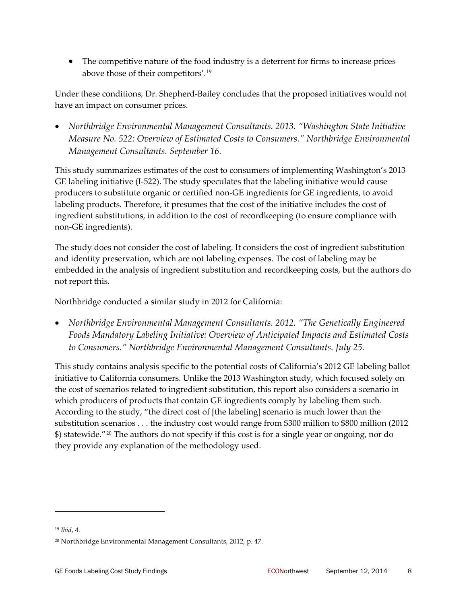• The competitive nature of the food industry is a deterrent for firms to increase prices above those of their competitors'.[19](#page-7-0)

Under these conditions, Dr. Shepherd‐Bailey concludes that the proposed initiatives would not have an impact on consumer prices.

• *Northbridge Environmental Management Consultants. 2013. "Washington State Initiative Measure No. 522: Overview of Estimated Costs to Consumers." Northbridge Environmental Management Consultants. September 16.*

This study summarizes estimates of the cost to consumers of implementing Washington's 2013 GE labeling initiative (I-522). The study speculates that the labeling initiative would cause producers to substitute organic or certified non‐GE ingredients for GE ingredients, to avoid labeling products. Therefore, it presumes that the cost of the initiative includes the cost of ingredient substitutions, in addition to the cost of recordkeeping (to ensure compliance with non‐GE ingredients).

The study does not consider the cost of labeling. It considers the cost of ingredient substitution and identity preservation, which are not labeling expenses. The cost of labeling may be embedded in the analysis of ingredient substitution and recordkeeping costs, but the authors do not report this.

Northbridge conducted a similar study in 2012 for California:

• *Northbridge Environmental Management Consultants. 2012. "The Genetically Engineered Foods Mandatory Labeling Initiative: Overview of Anticipated Impacts and Estimated Costs to Consumers." Northbridge Environmental Management Consultants. July 25.*

This study contains analysis specific to the potential costs of California's 2012 GE labeling ballot initiative to California consumers. Unlike the 2013 Washington study, which focused solely on the cost of scenarios related to ingredient substitution, this report also considers a scenario in which producers of products that contain GE ingredients comply by labeling them such. According to the study, "the direct cost of [the labeling] scenario is much lower than the substitution scenarios . . . the industry cost would range from \$300 million to \$800 million (2012 \$) statewide."[20](#page-7-1) The authors do not specify if this cost is for a single year or ongoing, nor do they provide any explanation of the methodology used.

<span id="page-7-0"></span><sup>19</sup> *Ibid*, 4.

<span id="page-7-1"></span><sup>20</sup> Northbridge Environmental Management Consultants, 2012, p. 47.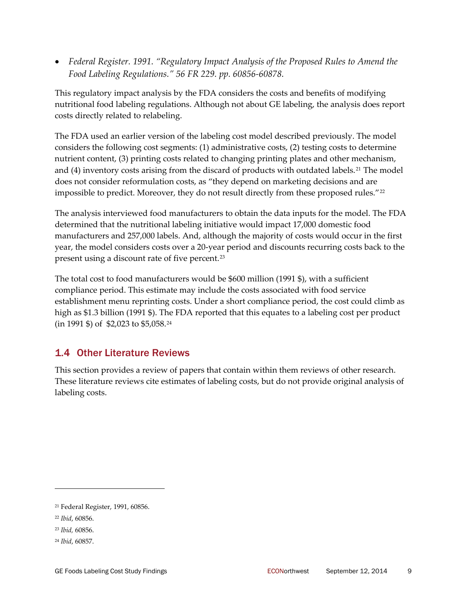<span id="page-8-4"></span>• *Federal Register. 1991. "Regulatory Impact Analysis of the Proposed Rules to Amend the Food Labeling Regulations." 56 FR 229. pp. 60856‐60878.*

This regulatory impact analysis by the FDA considers the costs and benefits of modifying nutritional food labeling regulations. Although not about GE labeling, the analysis does report costs directly related to relabeling.

The FDA used an earlier version of the labeling cost model described previously. The model considers the following cost segments: (1) administrative costs, (2) testing costs to determine nutrient content, (3) printing costs related to changing printing plates and other mechanism, and (4) inventory costs arising from the discard of products with outdated labels.<sup>[21](#page-8-0)</sup> The model does not consider reformulation costs, as "they depend on marketing decisions and are impossible to predict. Moreover, they do not result directly from these proposed rules."<sup>[22](#page-8-1)</sup>

The analysis interviewed food manufacturers to obtain the data inputs for the model. The FDA determined that the nutritional labeling initiative would impact 17,000 domestic food manufacturers and 257,000 labels. And, although the majority of costs would occur in the first year, the model considers costs over a 20‐year period and discounts recurring costs back to the present using a discount rate of five percent.[23](#page-8-2)

The total cost to food manufacturers would be \$600 million (1991 \$), with a sufficient compliance period. This estimate may include the costs associated with food service establishment menu reprinting costs. Under a short compliance period, the cost could climb as high as \$1.3 billion (1991 \$). The FDA reported that this equates to a labeling cost per product (in 1991 \$) of \$2,023 to \$5,058.[24](#page-8-3)

## 1.4 Other Literature Reviews

This section provides a review of papers that contain within them reviews of other research. These literature reviews cite estimates of labeling costs, but do not provide original analysis of labeling costs.

<span id="page-8-0"></span><sup>21</sup> Federal Register, 1991, 60856.

<span id="page-8-1"></span><sup>22</sup> *Ibid*, 60856.

<span id="page-8-2"></span><sup>23</sup> *Ibid,* 60856.

<span id="page-8-3"></span><sup>24</sup> *Ibid*, 60857.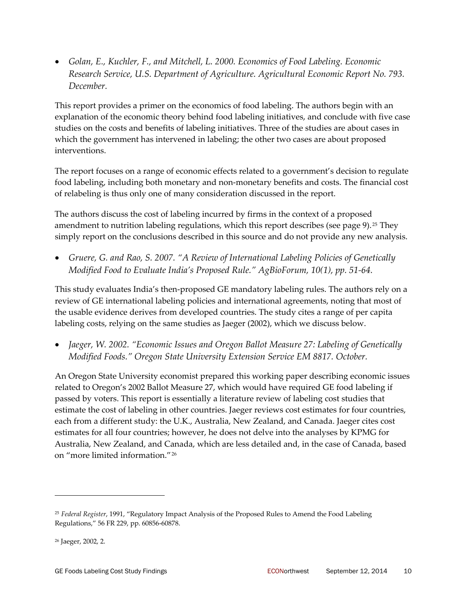• *Golan, E., Kuchler, F., and Mitchell, L. 2000. Economics of Food Labeling. Economic Research Service, U.S. Department of Agriculture. Agricultural Economic Report No. 793. December.*

This report provides a primer on the economics of food labeling. The authors begin with an explanation of the economic theory behind food labeling initiatives, and conclude with five case studies on the costs and benefits of labeling initiatives. Three of the studies are about cases in which the government has intervened in labeling; the other two cases are about proposed interventions.

The report focuses on a range of economic effects related to a government's decision to regulate food labeling, including both monetary and non‐monetary benefits and costs. The financial cost of relabeling is thus only one of many consideration discussed in the report.

The authors discuss the cost of labeling incurred by firms in the context of a proposed amendment to nutrition labeling regulations, which this report describes (see page [9\)](#page-8-4).<sup>[25](#page-9-0)</sup> They simply report on the conclusions described in this source and do not provide any new analysis.

• *Gruere, G. and Rao, S. 2007. "A Review of International Labeling Policies of Genetically Modified Food to Evaluate India's Proposed Rule." AgBioForum, 10(1), pp. 51‐64.* 

This study evaluates India's then‐proposed GE mandatory labeling rules. The authors rely on a review of GE international labeling policies and international agreements, noting that most of the usable evidence derives from developed countries. The study cites a range of per capita labeling costs, relying on the same studies as Jaeger (2002), which we discuss below.

• *Jaeger, W. 2002. "Economic Issues and Oregon Ballot Measure 27: Labeling of Genetically Modified Foods." Oregon State University Extension Service EM 8817. October.*

An Oregon State University economist prepared this working paper describing economic issues related to Oregon's 2002 Ballot Measure 27, which would have required GE food labeling if passed by voters. This report is essentially a literature review of labeling cost studies that estimate the cost of labeling in other countries. Jaeger reviews cost estimates for four countries, each from a different study: the U.K., Australia, New Zealand, and Canada. Jaeger cites cost estimates for all four countries; however, he does not delve into the analyses by KPMG for Australia, New Zealand, and Canada, which are less detailed and, in the case of Canada, based on "more limited information."[26](#page-9-1)

<span id="page-9-0"></span><sup>25</sup> *Federal Register*, 1991, "Regulatory Impact Analysis of the Proposed Rules to Amend the Food Labeling Regulations," 56 FR 229, pp. 60856‐60878.

<span id="page-9-1"></span><sup>26</sup> Jaeger, 2002, 2.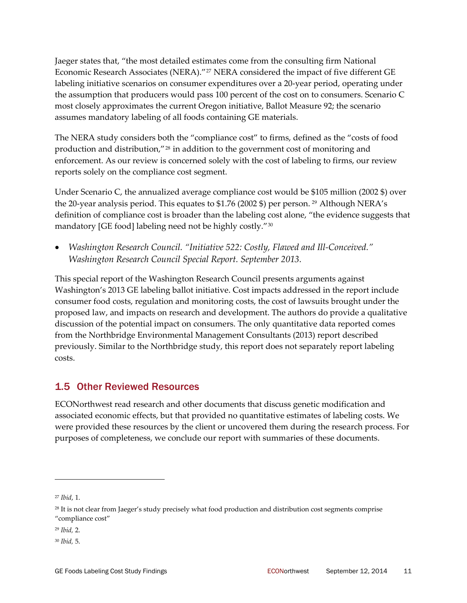Jaeger states that, "the most detailed estimates come from the consulting firm National Economic Research Associates (NERA)."<sup>[27](#page-10-0)</sup> NERA considered the impact of five different GE labeling initiative scenarios on consumer expenditures over a 20‐year period, operating under the assumption that producers would pass 100 percent of the cost on to consumers. Scenario C most closely approximates the current Oregon initiative, Ballot Measure 92; the scenario assumes mandatory labeling of all foods containing GE materials.

The NERA study considers both the "compliance cost" to firms, defined as the "costs of food production and distribution,"[28](#page-10-1) in addition to the government cost of monitoring and enforcement. As our review is concerned solely with the cost of labeling to firms, our review reports solely on the compliance cost segment.

Under Scenario C, the annualized average compliance cost would be \$105 million (2002 \$) over the 20-year analysis period. This equates to  $$1.76$  (2002 \$) per person. <sup>[29](#page-10-2)</sup> Although NERA's definition of compliance cost is broader than the labeling cost alone, "the evidence suggests that mandatory [GE food] labeling need not be highly costly."[30](#page-10-3)

• *Washington Research Council. "Initiative 522: Costly, Flawed and Ill‐Conceived." Washington Research Council Special Report. September 2013.*

This special report of the Washington Research Council presents arguments against Washington's 2013 GE labeling ballot initiative. Cost impacts addressed in the report include consumer food costs, regulation and monitoring costs, the cost of lawsuits brought under the proposed law, and impacts on research and development. The authors do provide a qualitative discussion of the potential impact on consumers. The only quantitative data reported comes from the Northbridge Environmental Management Consultants (2013) report described previously. Similar to the Northbridge study, this report does not separately report labeling costs.

## 1.5 Other Reviewed Resources

ECONorthwest read research and other documents that discuss genetic modification and associated economic effects, but that provided no quantitative estimates of labeling costs. We were provided these resources by the client or uncovered them during the research process. For purposes of completeness, we conclude our report with summaries of these documents.

<span id="page-10-0"></span><sup>27</sup> *Ibid*, 1.

<span id="page-10-1"></span><sup>&</sup>lt;sup>28</sup> It is not clear from Jaeger's study precisely what food production and distribution cost segments comprise "compliance cost"

<span id="page-10-2"></span><sup>29</sup> *Ibid,* 2.

<span id="page-10-3"></span><sup>30</sup> *Ibid,* 5.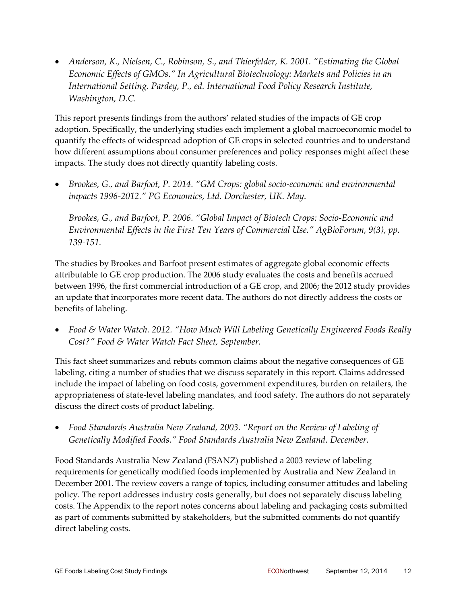• *Anderson, K., Nielsen, C., Robinson, S., and Thierfelder, K. 2001. "Estimating the Global Economic Effects of GMOs." In Agricultural Biotechnology: Markets and Policies in an International Setting. Pardey, P., ed. International Food Policy Research Institute, Washington, D.C.* 

This report presents findings from the authors' related studies of the impacts of GE crop adoption. Specifically, the underlying studies each implement a global macroeconomic model to quantify the effects of widespread adoption of GE crops in selected countries and to understand how different assumptions about consumer preferences and policy responses might affect these impacts. The study does not directly quantify labeling costs.

• *Brookes, G., and Barfoot, P. 2014. "GM Crops: global socio‐economic and environmental impacts 1996‐2012." PG Economics, Ltd. Dorchester, UK. May.*

*Brookes, G., and Barfoot, P. 2006. "Global Impact of Biotech Crops: Socio‐Economic and Environmental Effects in the First Ten Years of Commercial Use." AgBioForum, 9(3), pp. 139‐151.* 

The studies by Brookes and Barfoot present estimates of aggregate global economic effects attributable to GE crop production. The 2006 study evaluates the costs and benefits accrued between 1996, the first commercial introduction of a GE crop, and 2006; the 2012 study provides an update that incorporates more recent data. The authors do not directly address the costs or benefits of labeling.

• *Food & Water Watch. 2012. "How Much Will Labeling Genetically Engineered Foods Really Cost?" Food & Water Watch Fact Sheet, September.*

This fact sheet summarizes and rebuts common claims about the negative consequences of GE labeling, citing a number of studies that we discuss separately in this report. Claims addressed include the impact of labeling on food costs, government expenditures, burden on retailers, the appropriateness of state‐level labeling mandates, and food safety. The authors do not separately discuss the direct costs of product labeling.

• *Food Standards Australia New Zealand, 2003. "Report on the Review of Labeling of Genetically Modified Foods." Food Standards Australia New Zealand. December.*

Food Standards Australia New Zealand (FSANZ) published a 2003 review of labeling requirements for genetically modified foods implemented by Australia and New Zealand in December 2001. The review covers a range of topics, including consumer attitudes and labeling policy. The report addresses industry costs generally, but does not separately discuss labeling costs. The Appendix to the report notes concerns about labeling and packaging costs submitted as part of comments submitted by stakeholders, but the submitted comments do not quantify direct labeling costs.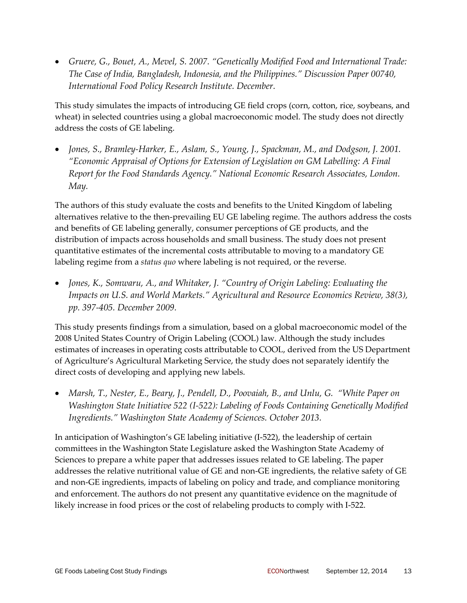• *Gruere, G., Bouet, A., Mevel, S. 2007. "Genetically Modified Food and International Trade: The Case of India, Bangladesh, Indonesia, and the Philippines." Discussion Paper 00740, International Food Policy Research Institute. December.*

This study simulates the impacts of introducing GE field crops (corn, cotton, rice, soybeans, and wheat) in selected countries using a global macroeconomic model. The study does not directly address the costs of GE labeling.

• *Jones, S., Bramley‐Harker, E., Aslam, S., Young, J., Spackman, M., and Dodgson, J. 2001. "Economic Appraisal of Options for Extension of Legislation on GM Labelling: A Final Report for the Food Standards Agency." National Economic Research Associates, London. May.*

The authors of this study evaluate the costs and benefits to the United Kingdom of labeling alternatives relative to the then‐prevailing EU GE labeling regime. The authors address the costs and benefits of GE labeling generally, consumer perceptions of GE products, and the distribution of impacts across households and small business. The study does not present quantitative estimates of the incremental costs attributable to moving to a mandatory GE labeling regime from a *status quo* where labeling is not required, or the reverse.

• *Jones, K., Somwaru, A., and Whitaker, J. "Country of Origin Labeling: Evaluating the Impacts on U.S. and World Markets." Agricultural and Resource Economics Review, 38(3), pp. 397‐405. December 2009.*

This study presents findings from a simulation, based on a global macroeconomic model of the 2008 United States Country of Origin Labeling (COOL) law. Although the study includes estimates of increases in operating costs attributable to COOL, derived from the US Department of Agriculture's Agricultural Marketing Service, the study does not separately identify the direct costs of developing and applying new labels.

• *Marsh, T., Nester, E., Beary, J., Pendell, D., Poovaiah, B., and Unlu, G. "White Paper on Washington State Initiative 522 (I‐522): Labeling of Foods Containing Genetically Modified Ingredients." Washington State Academy of Sciences. October 2013.*

In anticipation of Washington's GE labeling initiative (I‐522), the leadership of certain committees in the Washington State Legislature asked the Washington State Academy of Sciences to prepare a white paper that addresses issues related to GE labeling. The paper addresses the relative nutritional value of GE and non‐GE ingredients, the relative safety of GE and non‐GE ingredients, impacts of labeling on policy and trade, and compliance monitoring and enforcement. The authors do not present any quantitative evidence on the magnitude of likely increase in food prices or the cost of relabeling products to comply with I‐522.